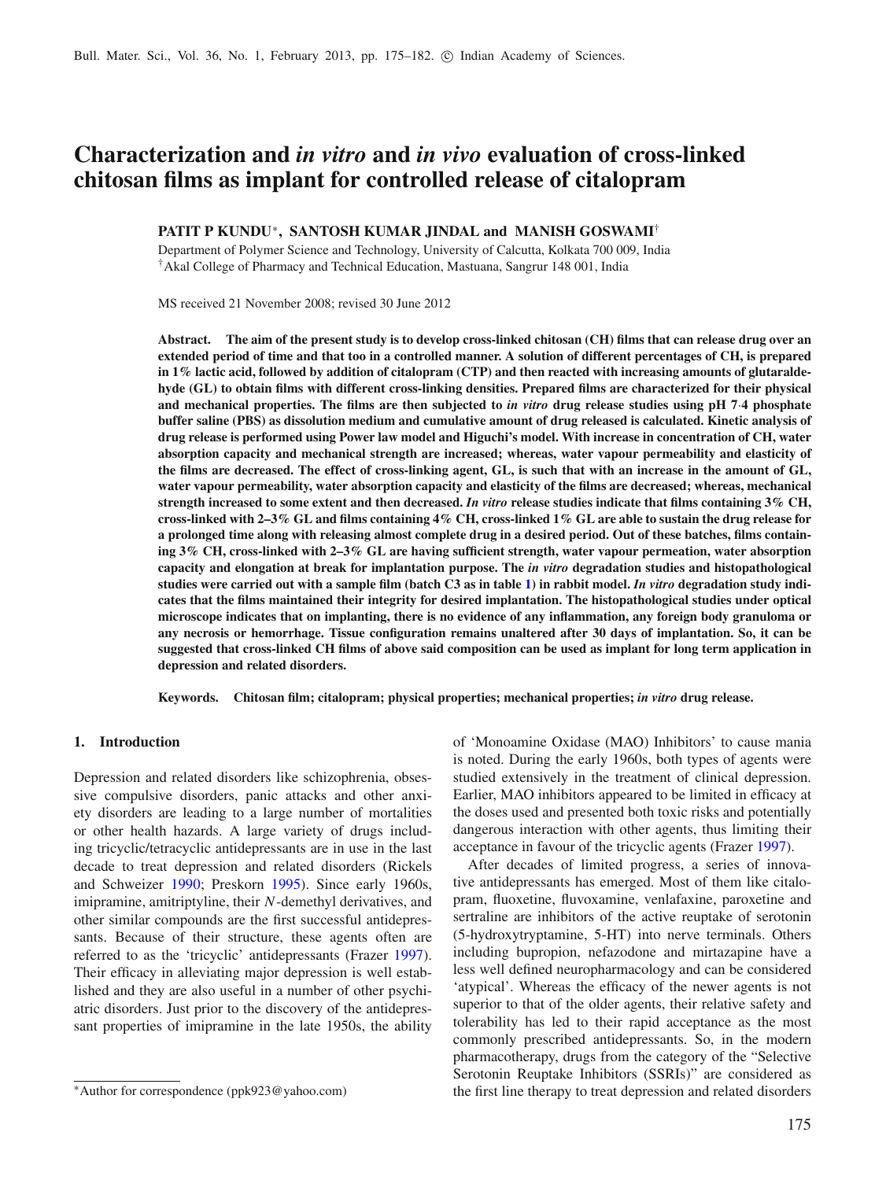# **Characterization and** *in vitro* **and** *in vivo* **evaluation of cross-linked chitosan films as implant for controlled release of citalopram**

# **PATIT P KUNDU**<sup>∗</sup>**, SANTOSH KUMAR JINDAL and MANISH GOSWAMI**†

Department of Polymer Science and Technology, University of Calcutta, Kolkata 700 009, India †Akal College of Pharmacy and Technical Education, Mastuana, Sangrur 148 001, India

MS received 21 November 2008; revised 30 June 2012

**Abstract. The aim of the present study is to develop cross-linked chitosan (CH) films that can release drug over an extended period of time and that too in a controlled manner. A solution of different percentages of CH, is prepared in 1% lactic acid, followed by addition of citalopram (CTP) and then reacted with increasing amounts of glutaraldehyde (GL) to obtain films with different cross-linking densities. Prepared films are characterized for their physical and mechanical properties. The films are then subjected to** *in vitro* **drug release studies using pH 7**·**4 phosphate buffer saline (PBS) as dissolution medium and cumulative amount of drug released is calculated. Kinetic analysis of drug release is performed using Power law model and Higuchi's model. With increase in concentration of CH, water absorption capacity and mechanical strength are increased; whereas, water vapour permeability and elasticity of the films are decreased. The effect of cross-linking agent, GL, is such that with an increase in the amount of GL, water vapour permeability, water absorption capacity and elasticity of the films are decreased; whereas, mechanical strength increased to some extent and then decreased.** *In vitro* **release studies indicate that films containing 3% CH, cross-linked with 2–3% GL and films containing 4% CH, cross-linked 1% GL are able to sustain the drug release for a prolonged time along with releasing almost complete drug in a desired period. Out of these batches, films containing 3% CH, cross-linked with 2–3% GL are having sufficient strength, water vapour permeation, water absorption capacity and elongation at break for implantation purpose. The** *in vitro* **degradation studies and histopathological studies were carried out with a sample film (batch C3 as in table [1\)](#page-2-0) in rabbit model.** *In vitro* **degradation study indicates that the films maintained their integrity for desired implantation. The histopathological studies under optical microscope indicates that on implanting, there is no evidence of any inflammation, any foreign body granuloma or any necrosis or hemorrhage. Tissue configuration remains unaltered after 30 days of implantation. So, it can be suggested that cross-linked CH films of above said composition can be used as implant for long term application in depression and related disorders.**

**Keywords. Chitosan film; citalopram; physical properties; mechanical properties;** *in vitro* **drug release.**

## **1. Introduction**

Depression and related disorders like schizophrenia, obsessive compulsive disorders, panic attacks and other anxiety disorders are leading to a large number of mortalities or other health hazards. A large variety of drugs including tricyclic/tetracyclic antidepressants are in use in the last decade to treat depression and related disorders (Rickels and Schweize[r](#page-7-0) [1990;](#page-7-0) Preskor[n](#page-7-1) [1995](#page-7-1)). Since early 1960s, imipramine, amitriptyline, their *N*-demethyl derivatives, and other similar compounds are the first successful antidepressants. Because of their structure, these agents often are referred to as the 'tricyclic' antidepressants (Fraze[r](#page-7-2) [1997\)](#page-7-2). Their efficacy in alleviating major depression is well established and they are also useful in a number of other psychiatric disorders. Just prior to the discovery of the antidepressant properties of imipramine in the late 1950s, the ability of 'Monoamine Oxidase (MAO) Inhibitors' to cause mania is noted. During the early 1960s, both types of agents were studied extensively in the treatment of clinical depression. Earlier, MAO inhibitors appeared to be limited in efficacy at the doses used and presented both toxic risks and potentially dangerous interaction with other agents, thus limiting their acceptance in favour of the tricyclic agents (Fraze[r](#page-7-2) [1997\)](#page-7-2).

After decades of limited progress, a series of innovative antidepressants has emerged. Most of them like citalopram, fluoxetine, fluvoxamine, venlafaxine, paroxetine and sertraline are inhibitors of the active reuptake of serotonin (5-hydroxytryptamine, 5-HT) into nerve terminals. Others including bupropion, nefazodone and mirtazapine have a less well defined neuropharmacology and can be considered 'atypical'. Whereas the efficacy of the newer agents is not superior to that of the older agents, their relative safety and tolerability has led to their rapid acceptance as the most commonly prescribed antidepressants. So, in the modern pharmacotherapy, drugs from the category of the "Selective Serotonin Reuptake Inhibitors (SSRIs)" are considered as the first line therapy to treat depression and related disorders

<sup>∗</sup>Author for correspondence (ppk923@yahoo.com)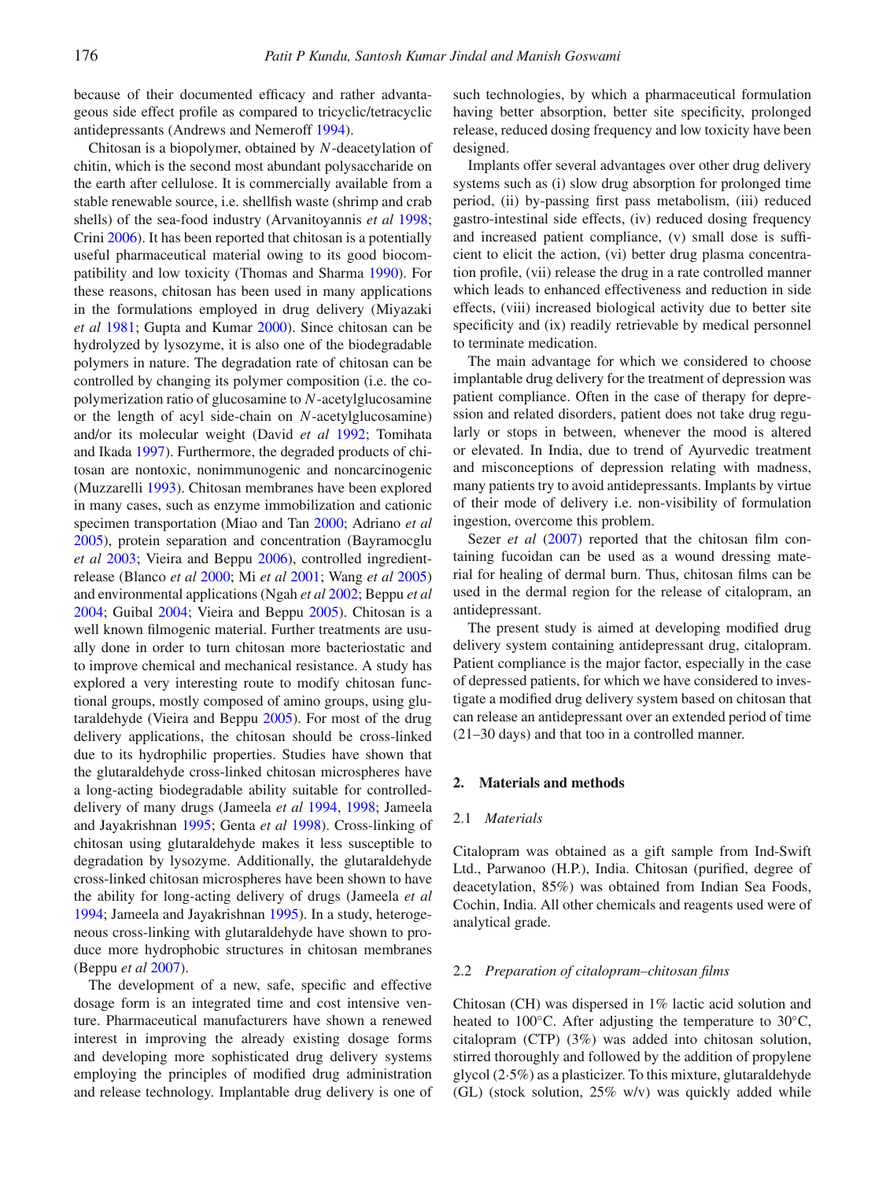because of their documented efficacy and rather advantageous side effect profile as compared to tricyclic/tetracyclic antidepressants (Andrews and Nemerof[f](#page-7-3) [1994](#page-7-3)).

Chitosan is a biopolymer, obtained by *N*-deacetylation of chitin, which is the second most abundant polysaccharide on the earth after cellulose. It is commercially available from a stable renewable source, i.e. shellfish waste (shrimp and crab shells) of the sea-food industry (Arvanitoyannis *et a[l](#page-7-4)* [1998;](#page-7-4) Crin[i](#page-7-5) [2006](#page-7-5)). It has been reported that chitosan is a potentially useful pharmaceutical material owing to its good biocompatibility and low toxicity (Thomas and Sharm[a](#page-7-6) [1990\)](#page-7-6). For these reasons, chitosan has been used in many applications in the formulations employed in drug delivery (Miyazaki *et a[l](#page-7-7)* [1981](#page-7-7); Gupta and Kuma[r](#page-7-8) [2000](#page-7-8)). Since chitosan can be hydrolyzed by lysozyme, it is also one of the biodegradable polymers in nature. The degradation rate of chitosan can be controlled by changing its polymer composition (i.e. the copolymerization ratio of glucosamine to *N*-acetylglucosamine or the length of acyl side-chain on *N*-acetylglucosamine) and/or its molecular weight (David *et a[l](#page-7-9)* [1992;](#page-7-9) Tomihata and Ikad[a](#page-7-10) [1997\)](#page-7-10). Furthermore, the degraded products of chitosan are nontoxic, nonimmunogenic and noncarcinogenic (Muzzarell[i](#page-7-11) [1993\)](#page-7-11). Chitosan membranes have been explored in many cases, such as enzyme immobilization and cationic specimen transportation (Miao and Ta[n](#page-7-12) [2000](#page-7-12); Adriano *et a[l](#page-7-13)* [2005\)](#page-7-13), protein separation and concentration (Bayramocglu *et a[l](#page-7-14)* [2003;](#page-7-14) Vieira and Bepp[u](#page-7-15) [2006](#page-7-15)), controlled ingredientrelease (Blanco *et a[l](#page-7-16)* [2000;](#page-7-16) Mi *et a[l](#page-7-17)* [2001](#page-7-17); Wang *et a[l](#page-7-18)* [2005](#page-7-18)) and environmental applications (Ngah *et a[l](#page-7-19)* [2002;](#page-7-19) Beppu *et a[l](#page-7-20)* [2004;](#page-7-20) Guiba[l](#page-7-21) [2004](#page-7-21); Vieira and Bepp[u](#page-7-22) [2005\)](#page-7-22). Chitosan is a well known filmogenic material. Further treatments are usually done in order to turn chitosan more bacteriostatic and to improve chemical and mechanical resistance. A study has explored a very interesting route to modify chitosan functional groups, mostly composed of amino groups, using glutaraldehyde (Vieira and Bepp[u](#page-7-22) [2005\)](#page-7-22). For most of the drug delivery applications, the chitosan should be cross-linked due to its hydrophilic properties. Studies have shown that the glutaraldehyde cross-linked chitosan microspheres have a long-acting biodegradable ability suitable for controlleddelivery of many drugs (Jameela *et a[l](#page-7-23)* [1994,](#page-7-23) [1998;](#page-7-24) Jameela and Jayakrishna[n](#page-7-25) [1995](#page-7-25); Genta *et a[l](#page-7-26)* [1998\)](#page-7-26). Cross-linking of chitosan using glutaraldehyde makes it less susceptible to degradation by lysozyme. Additionally, the glutaraldehyde cross-linked chitosan microspheres have been shown to have the ability for long-acting delivery of drugs (Jameela *et a[l](#page-7-23)* [1994;](#page-7-23) Jameela and Jayakrishna[n](#page-7-25) [1995\)](#page-7-25). In a study, heterogeneous cross-linking with glutaraldehyde have shown to produce more hydrophobic structures in chitosan membranes (Beppu *et a[l](#page-7-27)* [2007](#page-7-27)).

The development of a new, safe, specific and effective dosage form is an integrated time and cost intensive venture. Pharmaceutical manufacturers have shown a renewed interest in improving the already existing dosage forms and developing more sophisticated drug delivery systems employing the principles of modified drug administration and release technology. Implantable drug delivery is one of such technologies, by which a pharmaceutical formulation having better absorption, better site specificity, prolonged release, reduced dosing frequency and low toxicity have been designed.

Implants offer several advantages over other drug delivery systems such as (i) slow drug absorption for prolonged time period, (ii) by-passing first pass metabolism, (iii) reduced gastro-intestinal side effects, (iv) reduced dosing frequency and increased patient compliance, (v) small dose is sufficient to elicit the action, (vi) better drug plasma concentration profile, (vii) release the drug in a rate controlled manner which leads to enhanced effectiveness and reduction in side effects, (viii) increased biological activity due to better site specificity and (ix) readily retrievable by medical personnel to terminate medication.

The main advantage for which we considered to choose implantable drug delivery for the treatment of depression was patient compliance. Often in the case of therapy for depression and related disorders, patient does not take drug regularly or stops in between, whenever the mood is altered or elevated. In India, due to trend of Ayurvedic treatment and misconceptions of depression relating with madness, many patients try to avoid antidepressants. Implants by virtue of their mode of delivery i.e. non-visibility of formulation ingestion, overcome this problem.

Sezer *et a[l](#page-7-28)* [\(2007](#page-7-28)) reported that the chitosan film containing fucoidan can be used as a wound dressing material for healing of dermal burn. Thus, chitosan films can be used in the dermal region for the release of citalopram, an antidepressant.

The present study is aimed at developing modified drug delivery system containing antidepressant drug, citalopram. Patient compliance is the major factor, especially in the case of depressed patients, for which we have considered to investigate a modified drug delivery system based on chitosan that can release an antidepressant over an extended period of time (21–30 days) and that too in a controlled manner.

## **2. Materials and methods**

### 2.1 *Materials*

Citalopram was obtained as a gift sample from Ind-Swift Ltd., Parwanoo (H.P.), India. Chitosan (purified, degree of deacetylation, 85%) was obtained from Indian Sea Foods, Cochin, India. All other chemicals and reagents used were of analytical grade.

## 2.2 *Preparation of citalopram–chitosan films*

Chitosan (CH) was dispersed in 1% lactic acid solution and heated to 100◦C. After adjusting the temperature to 30◦C, citalopram (CTP) (3%) was added into chitosan solution, stirred thoroughly and followed by the addition of propylene glycol (2·5%) as a plasticizer. To this mixture, glutaraldehyde (GL) (stock solution, 25% w/v) was quickly added while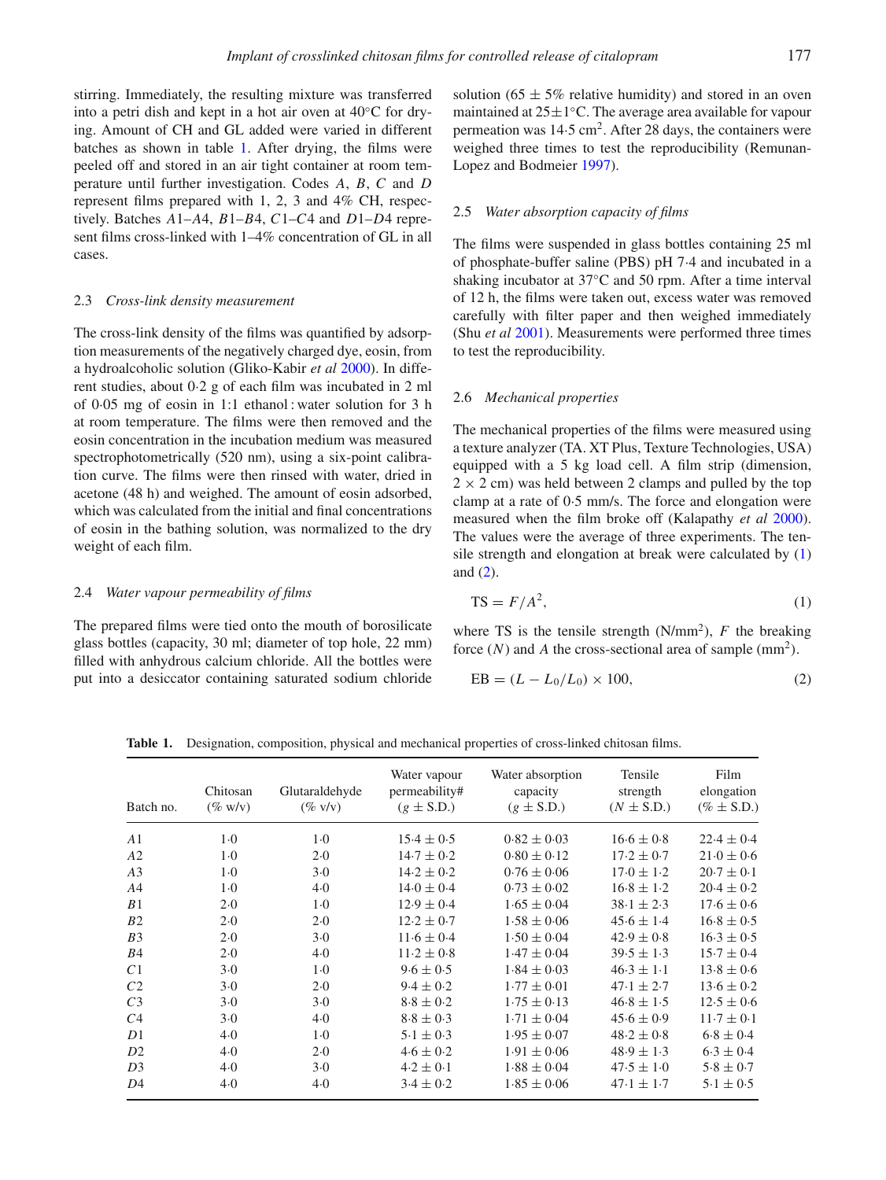stirring. Immediately, the resulting mixture was transferred into a petri dish and kept in a hot air oven at 40◦C for drying. Amount of CH and GL added were varied in different batches as shown in table [1.](#page-2-0) After drying, the films were peeled off and stored in an air tight container at room temperature until further investigation. Codes *A*, *B*, *C* and *D* represent films prepared with 1, 2, 3 and 4% CH, respectively. Batches *A*1–*A*4, *B*1–*B*4, *C*1–*C*4 and *D*1–*D*4 represent films cross-linked with 1–4% concentration of GL in all cases.

## 2.3 *Cross-link density measurement*

The cross-link density of the films was quantified by adsorption measurements of the negatively charged dye, eosin, from a hydroalcoholic solution (Gliko-Kabir *et a[l](#page-7-29)* [2000](#page-7-29)). In different studies, about 0·2 g of each film was incubated in 2 ml of 0·05 mg of eosin in 1:1 ethanol : water solution for 3 h at room temperature. The films were then removed and the eosin concentration in the incubation medium was measured spectrophotometrically (520 nm), using a six-point calibration curve. The films were then rinsed with water, dried in acetone (48 h) and weighed. The amount of eosin adsorbed, which was calculated from the initial and final concentrations of eosin in the bathing solution, was normalized to the dry weight of each film.

# 2.4 *Water vapour permeability of films*

The prepared films were tied onto the mouth of borosilicate glass bottles (capacity, 30 ml; diameter of top hole, 22 mm) filled with anhydrous calcium chloride. All the bottles were put into a desiccator containing saturated sodium chloride solution (65  $\pm$  5% relative humidity) and stored in an oven maintained at 25±1◦C. The average area available for vapour permeation was  $14.5 \text{ cm}^2$ . After 28 days, the containers were weighed three times to test the reproducibility (Remunan-Lopez and Bodmeie[r](#page-7-30) [1997\)](#page-7-30).

## 2.5 *Water absorption capacity of films*

The films were suspended in glass bottles containing 25 ml of phosphate-buffer saline (PBS) pH 7·4 and incubated in a shaking incubator at 37◦C and 50 rpm. After a time interval of 12 h, the films were taken out, excess water was removed carefully with filter paper and then weighed immediately (Shu *et a[l](#page-7-31)* [2001](#page-7-31)). Measurements were performed three times to test the reproducibility.

## 2.6 *Mechanical properties*

The mechanical properties of the films were measured using a texture analyzer (TA. XT Plus, Texture Technologies, USA) equipped with a 5 kg load cell. A film strip (dimension,  $2 \times 2$  cm) was held between 2 clamps and pulled by the top clamp at a rate of 0·5 mm/s. The force and elongation were measured when the film broke off (Kalapathy *et a[l](#page-7-32)* [2000\)](#page-7-32). The values were the average of three experiments. The tensile strength and elongation at break were calculated by [\(1\)](#page-2-1) and [\(2\)](#page-2-2).

<span id="page-2-2"></span><span id="page-2-1"></span>
$$
TS = F/A^2,\tag{1}
$$

where TS is the tensile strength  $(N/mm^2)$ , *F* the breaking force  $(N)$  and A the cross-sectional area of sample  $(nm^2)$ .

$$
EB = (L - L_0/L_0) \times 100,
$$
 (2)

<span id="page-2-0"></span>**Table 1.** Designation, composition, physical and mechanical properties of cross-linked chitosan films.

| Batch no.      | Chitosan<br>$(\%$ w/v) | Glutaraldehyde<br>$(\%$ v/v) | Water vapour<br>permeability#<br>$(g \pm S.D.)$ | Water absorption<br>capacity<br>$(g \pm S.D.)$ | Tensile<br>strength<br>$(N \pm S.D.)$ | Film<br>elongation<br>$(\% \pm S.D.)$ |
|----------------|------------------------|------------------------------|-------------------------------------------------|------------------------------------------------|---------------------------------------|---------------------------------------|
| A1             | $1-0$                  | $1-0$                        | $15.4 \pm 0.5$                                  | $0.82 \pm 0.03$                                | $16.6 \pm 0.8$                        | $22.4 \pm 0.4$                        |
| A2             | $1-0$                  | 2.0                          | $14.7 \pm 0.2$                                  | $0.80 \pm 0.12$                                | $17.2 \pm 0.7$                        | $21.0 \pm 0.6$                        |
| A <sub>3</sub> | $1-0$                  | 3.0                          | $14.2 \pm 0.2$                                  | $0.76 \pm 0.06$                                | $17.0 \pm 1.2$                        | $20.7 \pm 0.1$                        |
| A4             | $1-0$                  | 4.0                          | $14.0 \pm 0.4$                                  | $0.73 \pm 0.02$                                | $16.8 \pm 1.2$                        | $20.4 \pm 0.2$                        |
| B1             | 2.0                    | $1-0$                        | $12.9 \pm 0.4$                                  | $1.65 \pm 0.04$                                | $38.1 \pm 2.3$                        | $17.6 \pm 0.6$                        |
| B <sub>2</sub> | 2.0                    | 2.0                          | $12.2 \pm 0.7$                                  | $1.58 \pm 0.06$                                | $45.6 \pm 1.4$                        | $16.8 \pm 0.5$                        |
| B <sub>3</sub> | 2.0                    | 3.0                          | $11.6 \pm 0.4$                                  | $1.50 \pm 0.04$                                | $42.9 \pm 0.8$                        | $16.3 \pm 0.5$                        |
| <i>B</i> 4     | 2.0                    | 4.0                          | $11.2 \pm 0.8$                                  | $1.47 \pm 0.04$                                | $39.5 \pm 1.3$                        | $15.7 \pm 0.4$                        |
| C <sub>1</sub> | 3.0                    | $1-0$                        | $9.6 \pm 0.5$                                   | $1.84 \pm 0.03$                                | $46.3 \pm 1.1$                        | $13.8 \pm 0.6$                        |
| C <sub>2</sub> | 3.0                    | 2.0                          | $9.4 \pm 0.2$                                   | $1.77 \pm 0.01$                                | $47.1 \pm 2.7$                        | $13.6 \pm 0.2$                        |
| C <sub>3</sub> | 3.0                    | 3.0                          | $8.8 \pm 0.2$                                   | $1.75 \pm 0.13$                                | $46.8 \pm 1.5$                        | $12.5 \pm 0.6$                        |
| C <sub>4</sub> | 3.0                    | 4.0                          | $8.8 \pm 0.3$                                   | $1.71 \pm 0.04$                                | $45.6 \pm 0.9$                        | $11.7 \pm 0.1$                        |
| D <sub>1</sub> | 4.0                    | $1-0$                        | $5.1 \pm 0.3$                                   | $1.95 \pm 0.07$                                | $48.2 \pm 0.8$                        | $6.8 \pm 0.4$                         |
| D2             | 4.0                    | 2.0                          | $4.6 \pm 0.2$                                   | $1.91 \pm 0.06$                                | $48.9 \pm 1.3$                        | $6.3 \pm 0.4$                         |
| D <sub>3</sub> | 4.0                    | 3.0                          | $4.2 \pm 0.1$                                   | $1.88 \pm 0.04$                                | $47.5 \pm 1.0$                        | $5.8 \pm 0.7$                         |
| D4             | 4.0                    | 4.0                          | $3.4 \pm 0.2$                                   | $1.85 \pm 0.06$                                | $47.1 \pm 1.7$                        | $5.1 \pm 0.5$                         |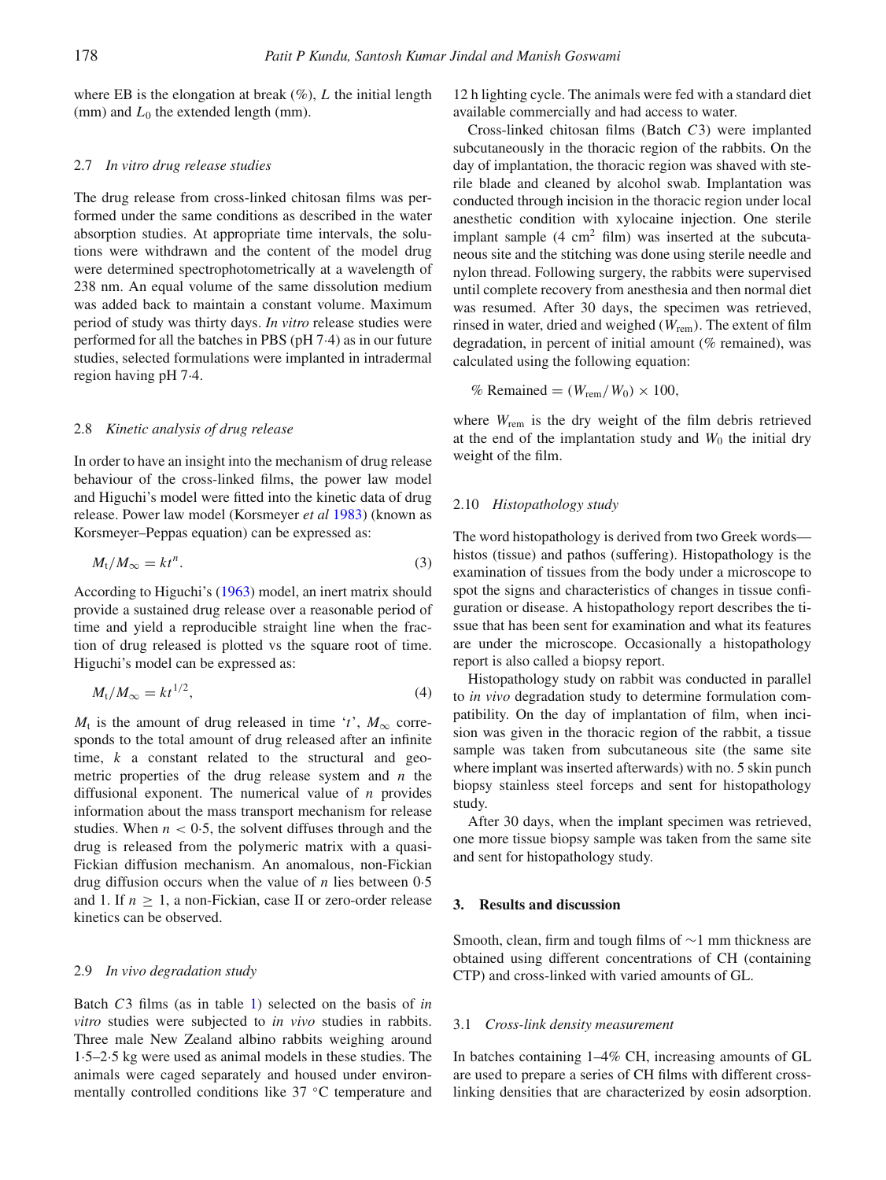where EB is the elongation at break (%), *L* the initial length (mm) and  $L_0$  the extended length (mm).

# 2.7 *In vitro drug release studies*

The drug release from cross-linked chitosan films was performed under the same conditions as described in the water absorption studies. At appropriate time intervals, the solutions were withdrawn and the content of the model drug were determined spectrophotometrically at a wavelength of 238 nm. An equal volume of the same dissolution medium was added back to maintain a constant volume. Maximum period of study was thirty days. *In vitro* release studies were performed for all the batches in PBS (pH 7·4) as in our future studies, selected formulations were implanted in intradermal region having pH 7·4.

## 2.8 *Kinetic analysis of drug release*

In order to have an insight into the mechanism of drug release behaviour of the cross-linked films, the power law model and Higuchi's model were fitted into the kinetic data of drug release. Power law model (Korsmeyer *et a[l](#page-7-33)* [1983\)](#page-7-33) (known as Korsmeyer–Peppas equation) can be expressed as:

$$
M_t/M_\infty = kt^n. \tag{3}
$$

According to Higuchi's [\(1963](#page-7-34)) model, an inert matrix should provide a sustained drug release over a reasonable period of time and yield a reproducible straight line when the fraction of drug released is plotted vs the square root of time. Higuchi's model can be expressed as:

$$
M_t/M_\infty = kt^{1/2},\tag{4}
$$

 $M_t$  is the amount of drug released in time '*t*',  $M_\infty$  corresponds to the total amount of drug released after an infinite time, *k* a constant related to the structural and geometric properties of the drug release system and *n* the diffusional exponent. The numerical value of *n* provides information about the mass transport mechanism for release studies. When  $n < 0.5$ , the solvent diffuses through and the drug is released from the polymeric matrix with a quasi-Fickian diffusion mechanism. An anomalous, non-Fickian drug diffusion occurs when the value of *n* lies between 0·5 and 1. If  $n \geq 1$ , a non-Fickian, case II or zero-order release kinetics can be observed.

## 2.9 *In vivo degradation study*

Batch *C*3 films (as in table [1\)](#page-2-0) selected on the basis of *in vitro* studies were subjected to *in vivo* studies in rabbits. Three male New Zealand albino rabbits weighing around 1·5–2·5 kg were used as animal models in these studies. The animals were caged separately and housed under environmentally controlled conditions like 37 ◦C temperature and

12 h lighting cycle. The animals were fed with a standard diet available commercially and had access to water.

Cross-linked chitosan films (Batch *C*3) were implanted subcutaneously in the thoracic region of the rabbits. On the day of implantation, the thoracic region was shaved with sterile blade and cleaned by alcohol swab. Implantation was conducted through incision in the thoracic region under local anesthetic condition with xylocaine injection. One sterile implant sample  $(4 \text{ cm}^2 \text{ film})$  was inserted at the subcutaneous site and the stitching was done using sterile needle and nylon thread. Following surgery, the rabbits were supervised until complete recovery from anesthesia and then normal diet was resumed. After 30 days, the specimen was retrieved, rinsed in water, dried and weighed (*W*rem). The extent of film degradation, in percent of initial amount (% remained), was calculated using the following equation:

% Remained =  $(W_{\text{rem}}/W_0) \times 100$ ,

where  $W_{\text{rem}}$  is the dry weight of the film debris retrieved at the end of the implantation study and  $W_0$  the initial dry weight of the film.

#### 2.10 *Histopathology study*

<span id="page-3-0"></span>The word histopathology is derived from two Greek words histos (tissue) and pathos (suffering). Histopathology is the examination of tissues from the body under a microscope to spot the signs and characteristics of changes in tissue configuration or disease. A histopathology report describes the tissue that has been sent for examination and what its features are under the microscope. Occasionally a histopathology report is also called a biopsy report.

<span id="page-3-1"></span>Histopathology study on rabbit was conducted in parallel to *in vivo* degradation study to determine formulation compatibility. On the day of implantation of film, when incision was given in the thoracic region of the rabbit, a tissue sample was taken from subcutaneous site (the same site where implant was inserted afterwards) with no. 5 skin punch biopsy stainless steel forceps and sent for histopathology study.

After 30 days, when the implant specimen was retrieved, one more tissue biopsy sample was taken from the same site and sent for histopathology study.

# **3. Results and discussion**

Smooth, clean, firm and tough films of ∼1 mm thickness are obtained using different concentrations of CH (containing CTP) and cross-linked with varied amounts of GL.

#### 3.1 *Cross-link density measurement*

In batches containing 1–4% CH, increasing amounts of GL are used to prepare a series of CH films with different crosslinking densities that are characterized by eosin adsorption.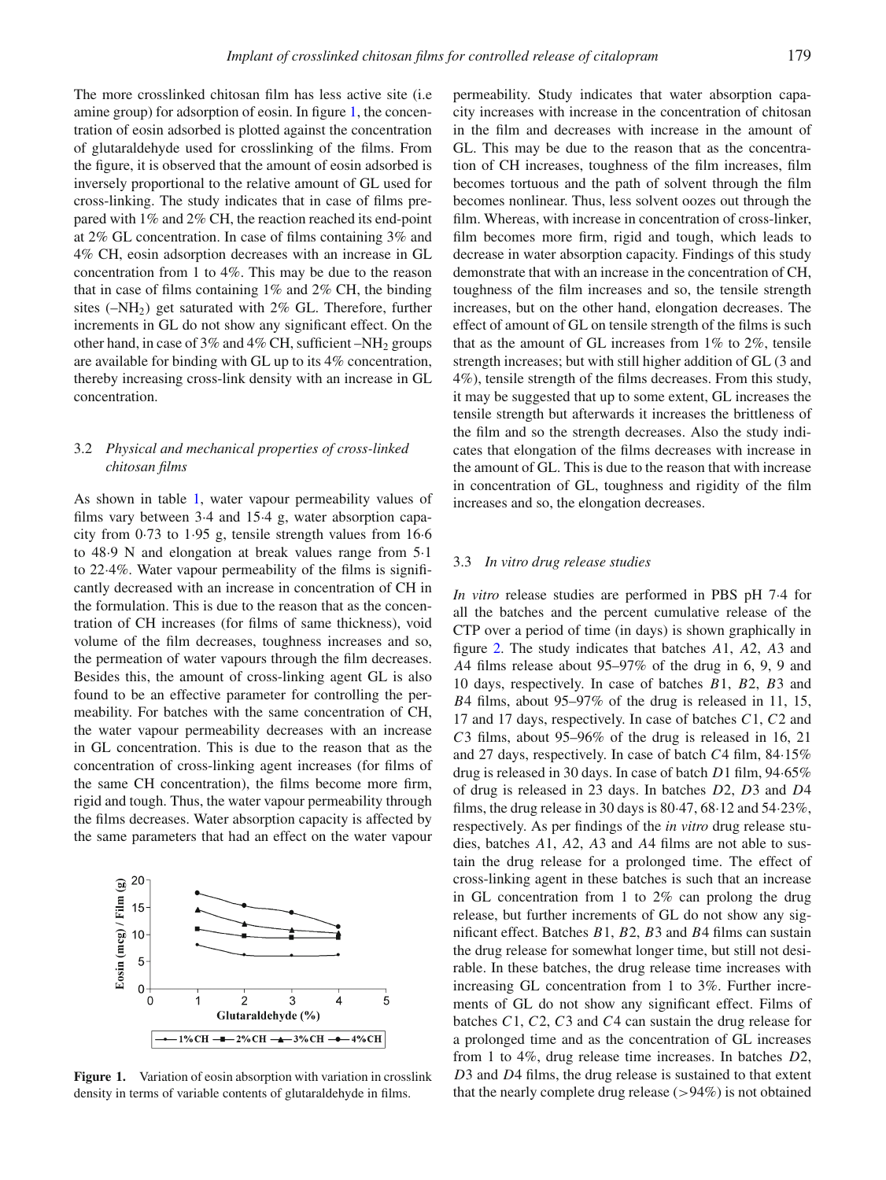The more crosslinked chitosan film has less active site (i.e amine group) for adsorption of eosin. In figure [1,](#page-4-0) the concentration of eosin adsorbed is plotted against the concentration of glutaraldehyde used for crosslinking of the films. From the figure, it is observed that the amount of eosin adsorbed is inversely proportional to the relative amount of GL used for cross-linking. The study indicates that in case of films prepared with 1% and 2% CH, the reaction reached its end-point at 2% GL concentration. In case of films containing 3% and 4% CH, eosin adsorption decreases with an increase in GL concentration from 1 to 4%. This may be due to the reason that in case of films containing 1% and 2% CH, the binding sites  $(-NH<sub>2</sub>)$  get saturated with 2% GL. Therefore, further increments in GL do not show any significant effect. On the other hand, in case of 3% and 4% CH, sufficient –NH2 groups are available for binding with GL up to its 4% concentration, thereby increasing cross-link density with an increase in GL concentration.

# 3.2 *Physical and mechanical properties of cross-linked chitosan films*

As shown in table [1,](#page-2-0) water vapour permeability values of films vary between 3·4 and 15·4 g, water absorption capacity from 0·73 to 1·95 g, tensile strength values from 16·6 to 48·9 N and elongation at break values range from 5·1 to 22·4%. Water vapour permeability of the films is significantly decreased with an increase in concentration of CH in the formulation. This is due to the reason that as the concentration of CH increases (for films of same thickness), void volume of the film decreases, toughness increases and so, the permeation of water vapours through the film decreases. Besides this, the amount of cross-linking agent GL is also found to be an effective parameter for controlling the permeability. For batches with the same concentration of CH, the water vapour permeability decreases with an increase in GL concentration. This is due to the reason that as the concentration of cross-linking agent increases (for films of the same CH concentration), the films become more firm, rigid and tough. Thus, the water vapour permeability through the films decreases. Water absorption capacity is affected by the same parameters that had an effect on the water vapour

<span id="page-4-0"></span>

Figure 1. Variation of eosin absorption with variation in crosslink density in terms of variable contents of glutaraldehyde in films.

permeability. Study indicates that water absorption capacity increases with increase in the concentration of chitosan in the film and decreases with increase in the amount of GL. This may be due to the reason that as the concentration of CH increases, toughness of the film increases, film becomes tortuous and the path of solvent through the film becomes nonlinear. Thus, less solvent oozes out through the film. Whereas, with increase in concentration of cross-linker, film becomes more firm, rigid and tough, which leads to decrease in water absorption capacity. Findings of this study demonstrate that with an increase in the concentration of CH, toughness of the film increases and so, the tensile strength increases, but on the other hand, elongation decreases. The effect of amount of GL on tensile strength of the films is such that as the amount of GL increases from 1% to 2%, tensile strength increases; but with still higher addition of GL (3 and 4%), tensile strength of the films decreases. From this study, it may be suggested that up to some extent, GL increases the tensile strength but afterwards it increases the brittleness of the film and so the strength decreases. Also the study indicates that elongation of the films decreases with increase in the amount of GL. This is due to the reason that with increase in concentration of GL, toughness and rigidity of the film increases and so, the elongation decreases.

## 3.3 *In vitro drug release studies*

*In vitro* release studies are performed in PBS pH 7·4 for all the batches and the percent cumulative release of the CTP over a period of time (in days) is shown graphically in figure [2.](#page-5-0) The study indicates that batches *A*1, *A*2, *A*3 and *A*4 films release about 95–97% of the drug in 6, 9, 9 and 10 days, respectively. In case of batches *B*1, *B*2, *B*3 and *B*4 films, about 95–97% of the drug is released in 11, 15, 17 and 17 days, respectively. In case of batches *C*1, *C*2 and *C*3 films, about 95–96% of the drug is released in 16, 21 and 27 days, respectively. In case of batch *C*4 film, 84·15% drug is released in 30 days. In case of batch *D*1 film, 94·65% of drug is released in 23 days. In batches *D*2, *D*3 and *D*4 films, the drug release in 30 days is  $80.47$ ,  $68.12$  and  $54.23\%$ , respectively. As per findings of the *in vitro* drug release studies, batches *A*1, *A*2, *A*3 and *A*4 films are not able to sustain the drug release for a prolonged time. The effect of cross-linking agent in these batches is such that an increase in GL concentration from 1 to 2% can prolong the drug release, but further increments of GL do not show any significant effect. Batches *B*1, *B*2, *B*3 and *B*4 films can sustain the drug release for somewhat longer time, but still not desirable. In these batches, the drug release time increases with increasing GL concentration from 1 to 3%. Further increments of GL do not show any significant effect. Films of batches *C*1, *C*2, *C*3 and *C*4 can sustain the drug release for a prolonged time and as the concentration of GL increases from 1 to 4%, drug release time increases. In batches *D*2, *D*3 and *D*4 films, the drug release is sustained to that extent that the nearly complete drug release  $(>94\%)$  is not obtained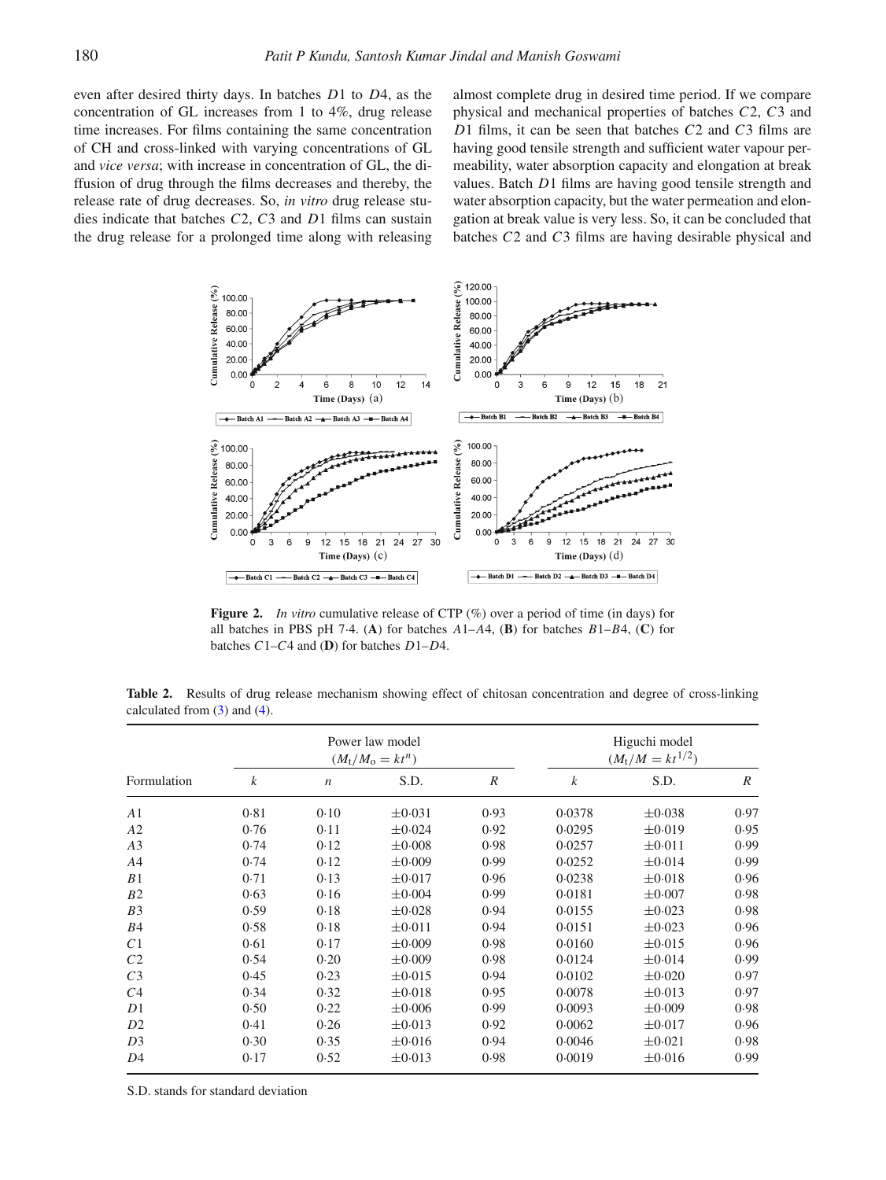even after desired thirty days. In batches *D*1 to *D*4, as the concentration of GL increases from 1 to 4%, drug release time increases. For films containing the same concentration of CH and cross-linked with varying concentrations of GL and *vice versa*; with increase in concentration of GL, the diffusion of drug through the films decreases and thereby, the release rate of drug decreases. So, *in vitro* drug release studies indicate that batches *C*2, *C*3 and *D*1 films can sustain the drug release for a prolonged time along with releasing almost complete drug in desired time period. If we compare physical and mechanical properties of batches *C*2, *C*3 and *D*1 films, it can be seen that batches *C*2 and *C*3 films are having good tensile strength and sufficient water vapour permeability, water absorption capacity and elongation at break values. Batch *D*1 films are having good tensile strength and water absorption capacity, but the water permeation and elongation at break value is very less. So, it can be concluded that batches *C*2 and *C*3 films are having desirable physical and

<span id="page-5-0"></span>

**Figure 2.** *In vitro* cumulative release of CTP (%) over a period of time (in days) for all batches in PBS pH 7·4. (**A**) for batches *A*1–*A*4, (**B**) for batches *B*1–*B*4, (**C**) for batches *C*1–*C*4 and (**D**) for batches *D*1–*D*4.

<span id="page-5-1"></span>

| <b>Table 2.</b> Results of drug release mechanism showing effect of chitosan concentration and degree of cross-linking |  |  |  |  |  |  |  |
|------------------------------------------------------------------------------------------------------------------------|--|--|--|--|--|--|--|
| calculated from $(3)$ and $(4)$ .                                                                                      |  |  |  |  |  |  |  |

|                |                  |                  | Power law model<br>$(M_t/M_0 = kt^n)$ |                |                  | Higuchi model<br>$(M_t/M = kt^{1/2})$ |                  |
|----------------|------------------|------------------|---------------------------------------|----------------|------------------|---------------------------------------|------------------|
| Formulation    | $\boldsymbol{k}$ | $\boldsymbol{n}$ | S.D.                                  | $\overline{R}$ | $\boldsymbol{k}$ | S.D.                                  | $\boldsymbol{R}$ |
| A1             | 0.81             | 0.10             | $\pm 0.031$                           | 0.93           | 0.0378           | $\pm 0.038$                           | 0.97             |
| A2             | 0.76             | 0.11             | $\pm 0.024$                           | 0.92           | 0.0295           | $\pm 0.019$                           | 0.95             |
| A <sub>3</sub> | 0.74             | 0.12             | $\pm 0.008$                           | 0.98           | 0.0257           | $\pm 0.011$                           | 0.99             |
| A <sub>4</sub> | 0.74             | 0.12             | $\pm 0.009$                           | 0.99           | 0.0252           | $\pm 0.014$                           | 0.99             |
| B1             | 0.71             | 0.13             | $\pm 0.017$                           | 0.96           | 0.0238           | $\pm 0.018$                           | 0.96             |
| <i>B</i> 2     | 0.63             | 0.16             | $\pm 0.004$                           | 0.99           | 0.0181           | $\pm 0.007$                           | 0.98             |
| B <sub>3</sub> | 0.59             | 0.18             | $\pm 0.028$                           | 0.94           | 0.0155           | $\pm 0.023$                           | 0.98             |
| <i>B</i> 4     | 0.58             | 0.18             | $\pm 0.011$                           | 0.94           | 0.0151           | $\pm 0.023$                           | 0.96             |
| C <sub>1</sub> | 0.61             | 0.17             | $\pm 0.009$                           | 0.98           | 0.0160           | $\pm 0.015$                           | 0.96             |
| C <sub>2</sub> | 0.54             | 0.20             | $\pm 0.009$                           | 0.98           | 0.0124           | $\pm 0.014$                           | 0.99             |
| C <sub>3</sub> | 0.45             | 0.23             | $\pm 0.015$                           | 0.94           | 0.0102           | $\pm 0.020$                           | 0.97             |
| C <sub>4</sub> | 0.34             | 0.32             | $\pm 0.018$                           | 0.95           | 0.0078           | $\pm 0.013$                           | 0.97             |
| D <sub>1</sub> | 0.50             | 0.22             | $\pm 0.006$                           | 0.99           | 0.0093           | $\pm 0.009$                           | 0.98             |
| D2             | 0.41             | 0.26             | $\pm 0.013$                           | 0.92           | 0.0062           | $\pm 0.017$                           | 0.96             |
| D <sub>3</sub> | 0.30             | 0.35             | $\pm 0.016$                           | 0.94           | 0.0046           | $\pm 0.021$                           | 0.98             |
| D4             | 0.17             | 0.52             | $\pm 0.013$                           | 0.98           | 0.0019           | $\pm 0.016$                           | 0.99             |

S.D. stands for standard deviation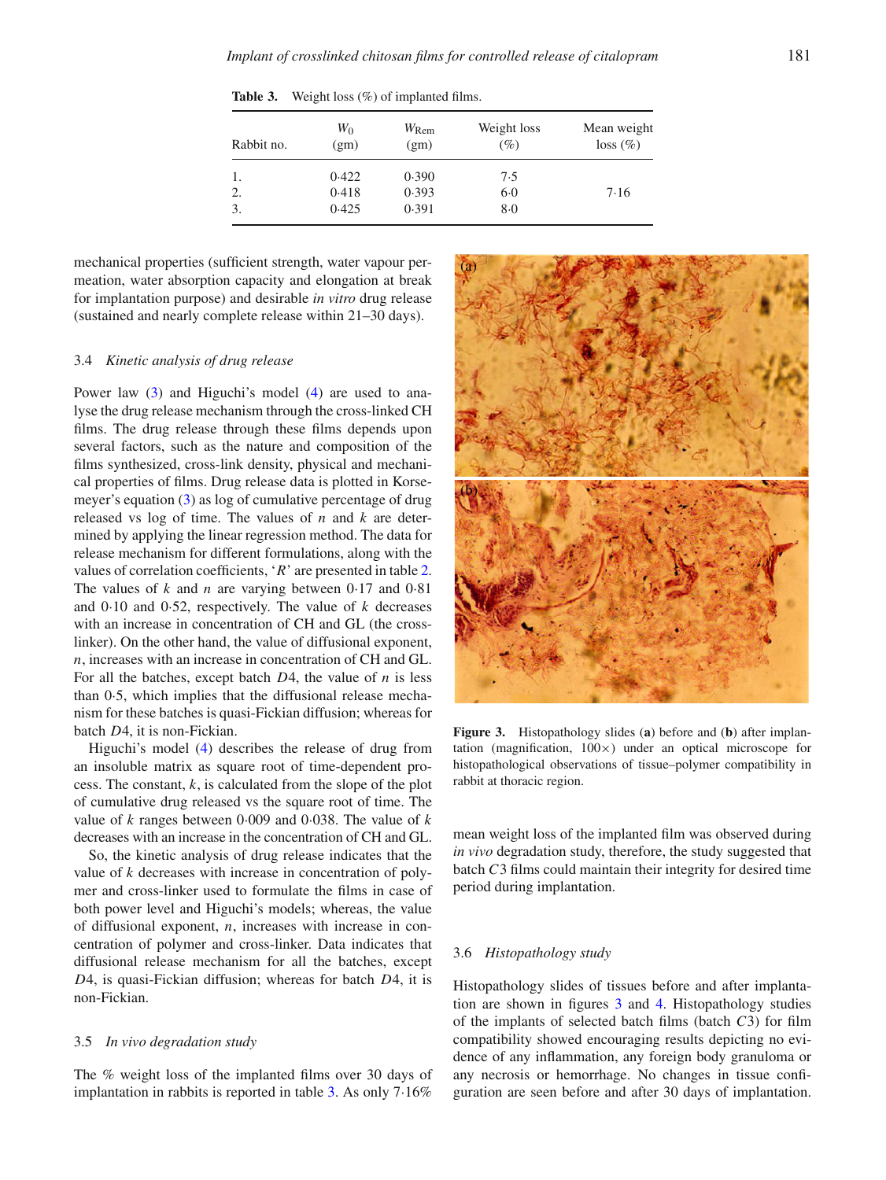| Rabbit no. | $W_0$<br>(gm) | $W_{\rm Rem}$<br>(gm) | Weight loss<br>$(\%)$ | Mean weight<br>$loss (\%)$ |
|------------|---------------|-----------------------|-----------------------|----------------------------|
|            | 0.422         | 0.390                 | 7.5                   |                            |
| 2.         | 0.418         | 0.393                 | $6-0$                 | 7.16                       |
| 3.         | 0.425         | 0.391                 | 8.0                   |                            |

<span id="page-6-0"></span>**Table 3.** Weight loss (%) of implanted films.

mechanical properties (sufficient strength, water vapour permeation, water absorption capacity and elongation at break for implantation purpose) and desirable *in vitro* drug release (sustained and nearly complete release within 21–30 days).

#### 3.4 *Kinetic analysis of drug release*

Power law [\(3\)](#page-3-0) and Higuchi's model [\(4\)](#page-3-1) are used to analyse the drug release mechanism through the cross-linked CH films. The drug release through these films depends upon several factors, such as the nature and composition of the films synthesized, cross-link density, physical and mechanical properties of films. Drug release data is plotted in Korsemeyer's equation [\(3\)](#page-3-0) as log of cumulative percentage of drug released vs log of time. The values of *n* and *k* are determined by applying the linear regression method. The data for release mechanism for different formulations, along with the values of correlation coefficients, '*R*' are presented in table [2.](#page-5-1) The values of *k* and *n* are varying between 0·17 and 0·81 and 0·10 and 0·52, respectively. The value of *k* decreases with an increase in concentration of CH and GL (the crosslinker). On the other hand, the value of diffusional exponent, *n*, increases with an increase in concentration of CH and GL. For all the batches, except batch *D*4, the value of *n* is less than 0·5, which implies that the diffusional release mechanism for these batches is quasi-Fickian diffusion; whereas for batch *D*4, it is non-Fickian.

Higuchi's model [\(4\)](#page-3-1) describes the release of drug from an insoluble matrix as square root of time-dependent process. The constant, *k*, is calculated from the slope of the plot of cumulative drug released vs the square root of time. The value of *k* ranges between 0·009 and 0·038. The value of *k* decreases with an increase in the concentration of CH and GL.

So, the kinetic analysis of drug release indicates that the value of *k* decreases with increase in concentration of polymer and cross-linker used to formulate the films in case of both power level and Higuchi's models; whereas, the value of diffusional exponent, *n*, increases with increase in concentration of polymer and cross-linker. Data indicates that diffusional release mechanism for all the batches, except *D*4, is quasi-Fickian diffusion; whereas for batch *D*4, it is non-Fickian.

#### 3.5 *In vivo degradation study*

The % weight loss of the implanted films over 30 days of implantation in rabbits is reported in table [3.](#page-6-0) As only 7·16%

<span id="page-6-1"></span>

**Figure 3.** Histopathology slides (**a**) before and (**b**) after implantation (magnification,  $100 \times$ ) under an optical microscope for histopathological observations of tissue–polymer compatibility in rabbit at thoracic region.

mean weight loss of the implanted film was observed during *in vivo* degradation study, therefore, the study suggested that batch *C*3 films could maintain their integrity for desired time period during implantation.

# 3.6 *Histopathology study*

Histopathology slides of tissues before and after implantation are shown in figures [3](#page-6-1) and [4.](#page-7-35) Histopathology studies of the implants of selected batch films (batch *C*3) for film compatibility showed encouraging results depicting no evidence of any inflammation, any foreign body granuloma or any necrosis or hemorrhage. No changes in tissue configuration are seen before and after 30 days of implantation.